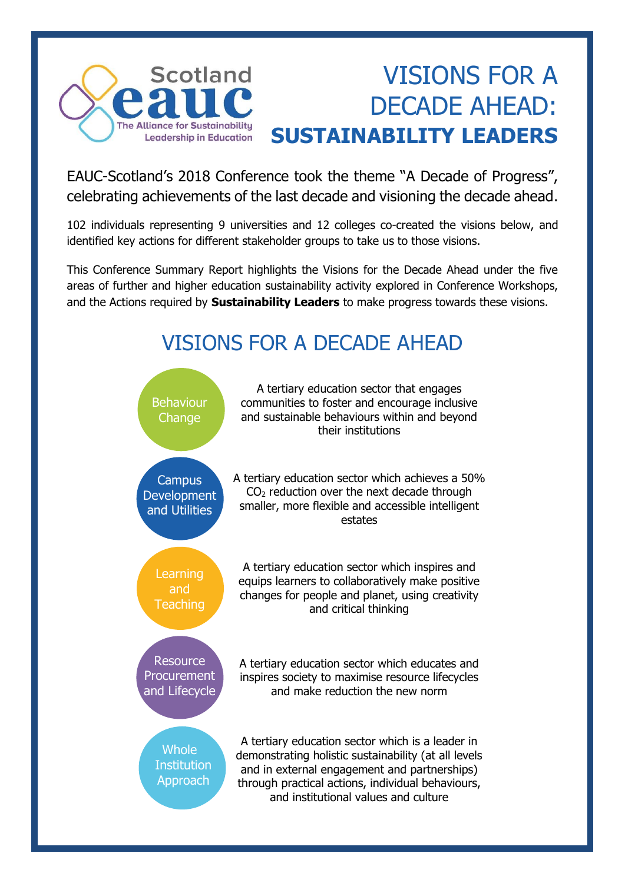

# VISIONS FOR A DECADE AHEAD: **SUSTAINABILITY LEADERS**

EAUC-Scotland's 2018 Conference took the theme "A Decade of Progress", celebrating achievements of the last decade and visioning the decade ahead.

102 individuals representing 9 universities and 12 colleges co-created the visions below, and identified key actions for different stakeholder groups to take us to those visions.

This Conference Summary Report highlights the Visions for the Decade Ahead under the five areas of further and higher education sustainability activity explored in Conference Workshops, and the Actions required by **Sustainability Leaders** to make progress towards these visions.

## VISIONS FOR A DECADE AHEAD